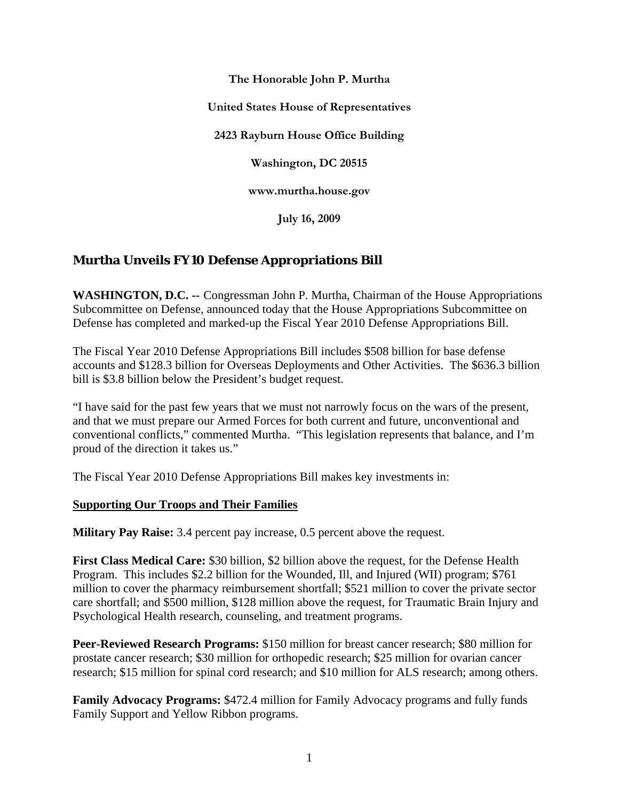**The Honorable John P. Murtha**

**United States House of Representatives**

**2423 Rayburn House Office Building**

**Washington, DC 20515**

**www.murtha.house.gov**

**July 16, 2009**

# **Murtha Unveils FY10 Defense Appropriations Bill**

**WASHINGTON, D.C. --** Congressman John P. Murtha, Chairman of the House Appropriations Subcommittee on Defense, announced today that the House Appropriations Subcommittee on Defense has completed and marked-up the Fiscal Year 2010 Defense Appropriations Bill.

The Fiscal Year 2010 Defense Appropriations Bill includes \$508 billion for base defense accounts and \$128.3 billion for Overseas Deployments and Other Activities. The \$636.3 billion bill is \$3.8 billion below the President's budget request.

"I have said for the past few years that we must not narrowly focus on the wars of the present, and that we must prepare our Armed Forces for both current and future, unconventional and conventional conflicts," commented Murtha. "This legislation represents that balance, and I'm proud of the direction it takes us."

The Fiscal Year 2010 Defense Appropriations Bill makes key investments in:

#### **Supporting Our Troops and Their Families**

**Military Pay Raise:** 3.4 percent pay increase, 0.5 percent above the request.

**First Class Medical Care:** \$30 billion, \$2 billion above the request, for the Defense Health Program. This includes \$2.2 billion for the Wounded, Ill, and Injured (WII) program; \$761 million to cover the pharmacy reimbursement shortfall; \$521 million to cover the private sector care shortfall; and \$500 million, \$128 million above the request, for Traumatic Brain Injury and Psychological Health research, counseling, and treatment programs.

**Peer-Reviewed Research Programs:** \$150 million for breast cancer research; \$80 million for prostate cancer research; \$30 million for orthopedic research; \$25 million for ovarian cancer research; \$15 million for spinal cord research; and \$10 million for ALS research; among others.

**Family Advocacy Programs:** \$472.4 million for Family Advocacy programs and fully funds Family Support and Yellow Ribbon programs.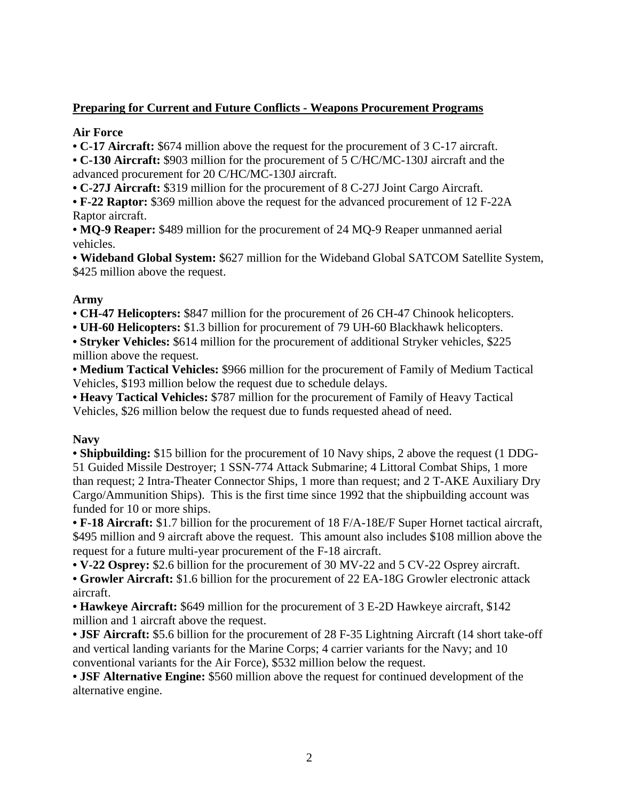# **Preparing for Current and Future Conflicts - Weapons Procurement Programs**

#### **Air Force**

**• C-17 Aircraft:** \$674 million above the request for the procurement of 3 C-17 aircraft.

**• C-130 Aircraft:** \$903 million for the procurement of 5 C/HC/MC-130J aircraft and the advanced procurement for 20 C/HC/MC-130J aircraft.

**• C-27J Aircraft:** \$319 million for the procurement of 8 C-27J Joint Cargo Aircraft.

**• F-22 Raptor:** \$369 million above the request for the advanced procurement of 12 F-22A Raptor aircraft.

**• MQ-9 Reaper:** \$489 million for the procurement of 24 MQ-9 Reaper unmanned aerial vehicles.

**• Wideband Global System:** \$627 million for the Wideband Global SATCOM Satellite System, \$425 million above the request.

### **Army**

**• CH-47 Helicopters:** \$847 million for the procurement of 26 CH-47 Chinook helicopters.

**• UH-60 Helicopters:** \$1.3 billion for procurement of 79 UH-60 Blackhawk helicopters.

**• Stryker Vehicles:** \$614 million for the procurement of additional Stryker vehicles, \$225 million above the request.

**• Medium Tactical Vehicles:** \$966 million for the procurement of Family of Medium Tactical Vehicles, \$193 million below the request due to schedule delays.

**• Heavy Tactical Vehicles:** \$787 million for the procurement of Family of Heavy Tactical Vehicles, \$26 million below the request due to funds requested ahead of need.

### **Navy**

• **Shipbuilding:** \$15 billion for the procurement of 10 Navy ships, 2 above the request (1 DDG-51 Guided Missile Destroyer; 1 SSN-774 Attack Submarine; 4 Littoral Combat Ships, 1 more than request; 2 Intra-Theater Connector Ships, 1 more than request; and 2 T-AKE Auxiliary Dry Cargo/Ammunition Ships). This is the first time since 1992 that the shipbuilding account was funded for 10 or more ships.

**• F-18 Aircraft:** \$1.7 billion for the procurement of 18 F/A-18E/F Super Hornet tactical aircraft, \$495 million and 9 aircraft above the request. This amount also includes \$108 million above the request for a future multi-year procurement of the F-18 aircraft.

**• V-22 Osprey:** \$2.6 billion for the procurement of 30 MV-22 and 5 CV-22 Osprey aircraft.

**• Growler Aircraft:** \$1.6 billion for the procurement of 22 EA-18G Growler electronic attack aircraft.

**• Hawkeye Aircraft:** \$649 million for the procurement of 3 E-2D Hawkeye aircraft, \$142 million and 1 aircraft above the request.

• **JSF Aircraft:** \$5.6 billion for the procurement of 28 F-35 Lightning Aircraft (14 short take-off and vertical landing variants for the Marine Corps; 4 carrier variants for the Navy; and 10 conventional variants for the Air Force), \$532 million below the request.

**• JSF Alternative Engine:** \$560 million above the request for continued development of the alternative engine.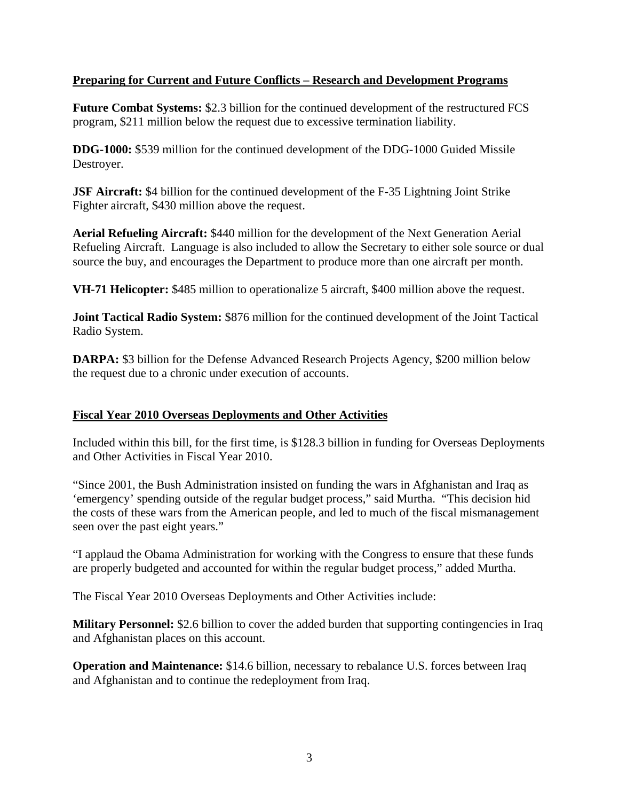### **Preparing for Current and Future Conflicts – Research and Development Programs**

**Future Combat Systems:** \$2.3 billion for the continued development of the restructured FCS program, \$211 million below the request due to excessive termination liability.

**DDG-1000:** \$539 million for the continued development of the DDG-1000 Guided Missile Destroyer.

**JSF Aircraft:** \$4 billion for the continued development of the F-35 Lightning Joint Strike Fighter aircraft, \$430 million above the request.

**Aerial Refueling Aircraft:** \$440 million for the development of the Next Generation Aerial Refueling Aircraft. Language is also included to allow the Secretary to either sole source or dual source the buy, and encourages the Department to produce more than one aircraft per month.

**VH-71 Helicopter:** \$485 million to operationalize 5 aircraft, \$400 million above the request.

**Joint Tactical Radio System:** \$876 million for the continued development of the Joint Tactical Radio System.

**DARPA:** \$3 billion for the Defense Advanced Research Projects Agency, \$200 million below the request due to a chronic under execution of accounts.

### **Fiscal Year 2010 Overseas Deployments and Other Activities**

Included within this bill, for the first time, is \$128.3 billion in funding for Overseas Deployments and Other Activities in Fiscal Year 2010.

"Since 2001, the Bush Administration insisted on funding the wars in Afghanistan and Iraq as 'emergency' spending outside of the regular budget process," said Murtha. "This decision hid the costs of these wars from the American people, and led to much of the fiscal mismanagement seen over the past eight years."

"I applaud the Obama Administration for working with the Congress to ensure that these funds are properly budgeted and accounted for within the regular budget process," added Murtha.

The Fiscal Year 2010 Overseas Deployments and Other Activities include:

**Military Personnel:** \$2.6 billion to cover the added burden that supporting contingencies in Iraq and Afghanistan places on this account.

**Operation and Maintenance:** \$14.6 billion, necessary to rebalance U.S. forces between Iraq and Afghanistan and to continue the redeployment from Iraq.